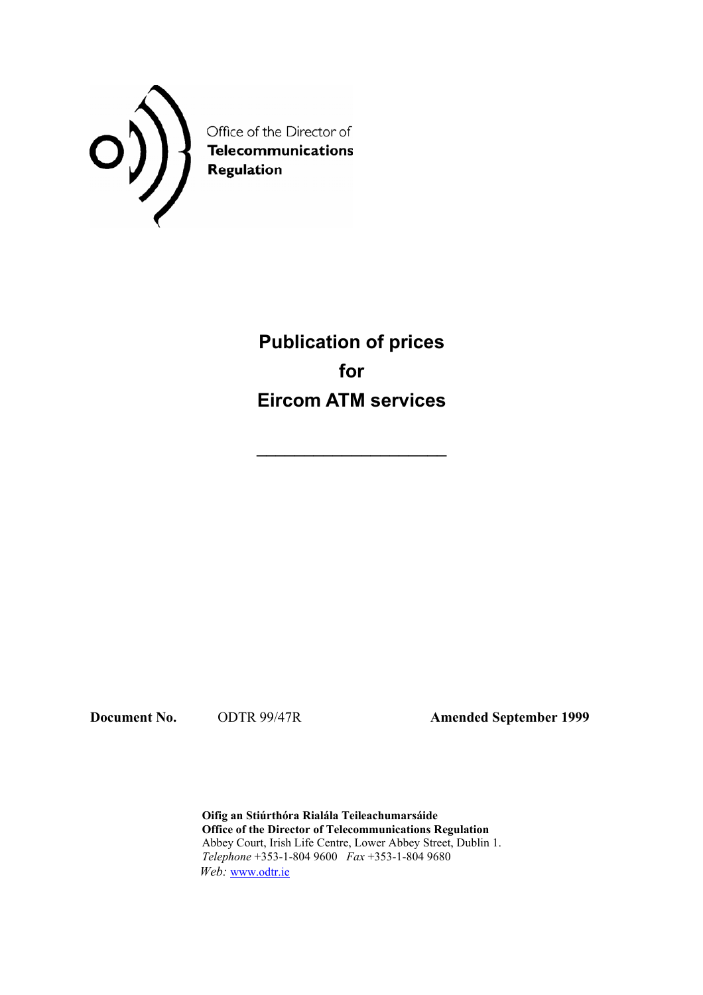

Office of the Director of Telecommunications<br>Regulation

> **Publication of prices for Eircom ATM services**

**\_\_\_\_\_\_\_\_\_\_\_\_\_\_\_\_\_\_\_\_** 

**Document No.** ODTR 99/47R **Amended September 1999** 

 **Oifig an Stiúrthóra Rialála Teileachumarsáide Office of the Director of Telecommunications Regulation**  Abbey Court, Irish Life Centre, Lower Abbey Street, Dublin 1. *Telephone* +353-1-804 9600 *Fax* +353-1-804 9680  *Web:* www.odtr.ie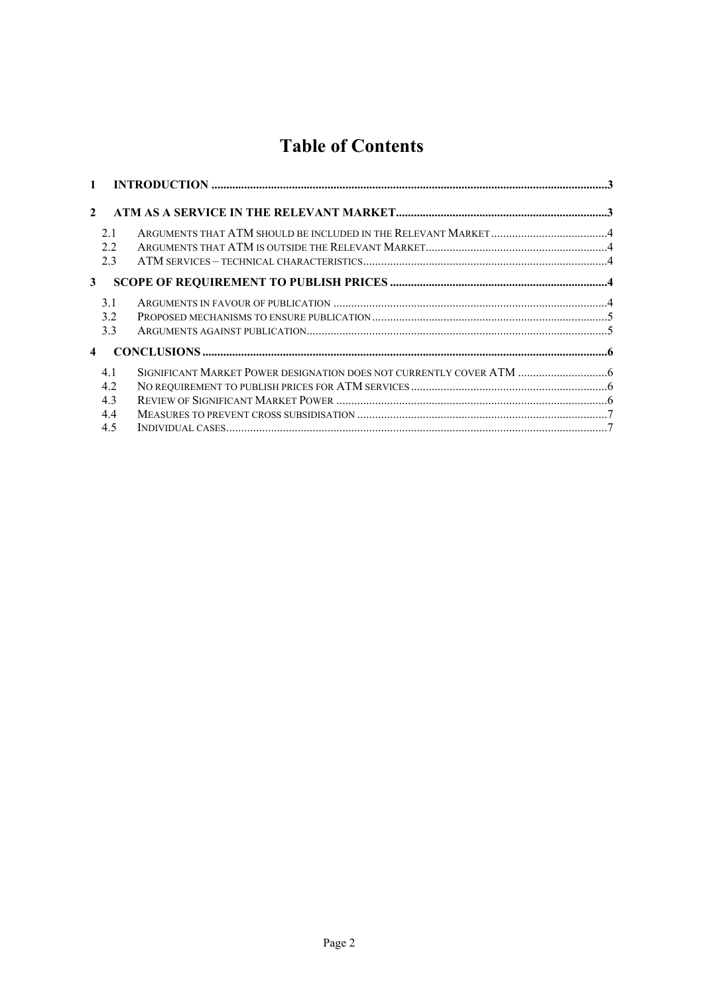# **Table of Contents**

| $\mathbf{1}$            |     |  |
|-------------------------|-----|--|
| $\mathbf{2}$            |     |  |
|                         | 2.1 |  |
|                         | 22  |  |
|                         | 23  |  |
| 3                       |     |  |
|                         | 31  |  |
|                         | 32  |  |
|                         | 3.3 |  |
| $\overline{\mathbf{4}}$ |     |  |
|                         | 41  |  |
|                         | 4.2 |  |
|                         | 4.3 |  |
|                         | 4.4 |  |
|                         | 4.5 |  |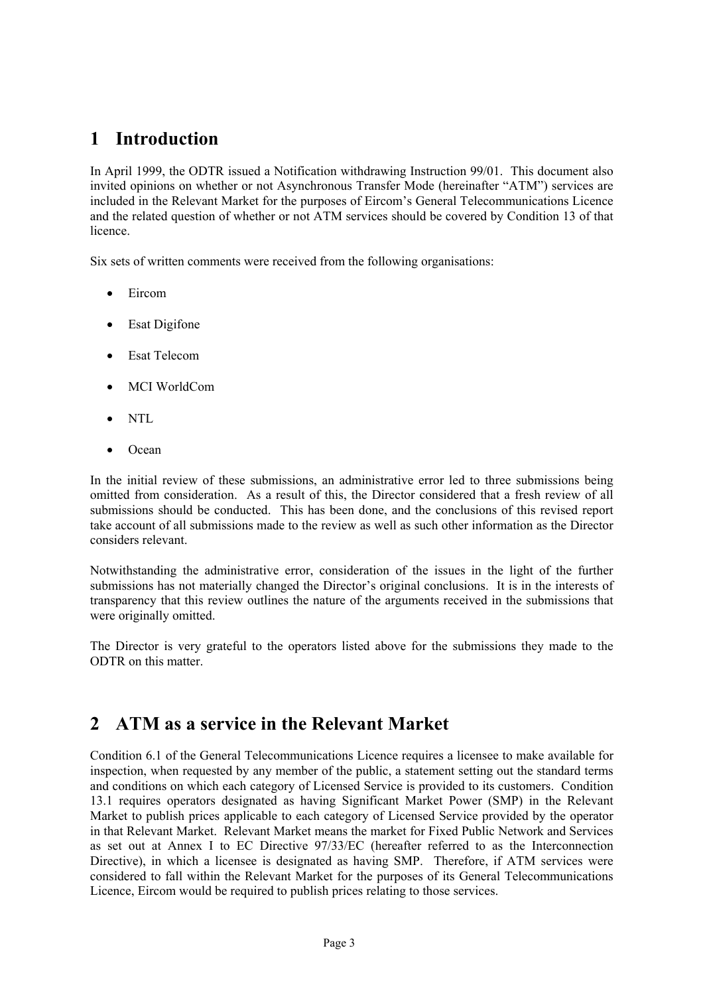# **1 Introduction**

In April 1999, the ODTR issued a Notification withdrawing Instruction 99/01. This document also invited opinions on whether or not Asynchronous Transfer Mode (hereinafter "ATM") services are included in the Relevant Market for the purposes of Eircom's General Telecommunications Licence and the related question of whether or not ATM services should be covered by Condition 13 of that licence.

Six sets of written comments were received from the following organisations:

- Eircom
- Esat Digifone
- Esat Telecom
- MCI WorldCom
- NTL
- Ocean

In the initial review of these submissions, an administrative error led to three submissions being omitted from consideration. As a result of this, the Director considered that a fresh review of all submissions should be conducted. This has been done, and the conclusions of this revised report take account of all submissions made to the review as well as such other information as the Director considers relevant.

Notwithstanding the administrative error, consideration of the issues in the light of the further submissions has not materially changed the Director's original conclusions. It is in the interests of transparency that this review outlines the nature of the arguments received in the submissions that were originally omitted.

The Director is very grateful to the operators listed above for the submissions they made to the ODTR on this matter.

# **2 ATM as a service in the Relevant Market**

Condition 6.1 of the General Telecommunications Licence requires a licensee to make available for inspection, when requested by any member of the public, a statement setting out the standard terms and conditions on which each category of Licensed Service is provided to its customers. Condition 13.1 requires operators designated as having Significant Market Power (SMP) in the Relevant Market to publish prices applicable to each category of Licensed Service provided by the operator in that Relevant Market. Relevant Market means the market for Fixed Public Network and Services as set out at Annex I to EC Directive 97/33/EC (hereafter referred to as the Interconnection Directive), in which a licensee is designated as having SMP. Therefore, if ATM services were considered to fall within the Relevant Market for the purposes of its General Telecommunications Licence, Eircom would be required to publish prices relating to those services.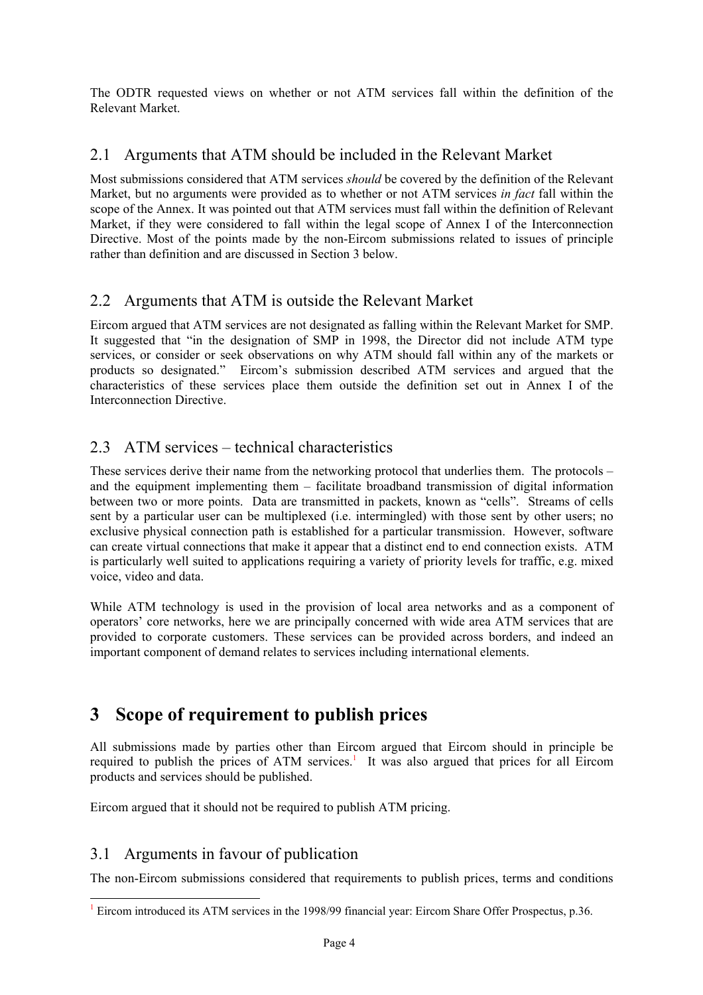The ODTR requested views on whether or not ATM services fall within the definition of the Relevant Market.

#### 2.1 Arguments that ATM should be included in the Relevant Market

Most submissions considered that ATM services *should* be covered by the definition of the Relevant Market, but no arguments were provided as to whether or not ATM services *in fact* fall within the scope of the Annex. It was pointed out that ATM services must fall within the definition of Relevant Market, if they were considered to fall within the legal scope of Annex I of the Interconnection Directive. Most of the points made by the non-Eircom submissions related to issues of principle rather than definition and are discussed in Section 3 below.

## 2.2 Arguments that ATM is outside the Relevant Market

Eircom argued that ATM services are not designated as falling within the Relevant Market for SMP. It suggested that "in the designation of SMP in 1998, the Director did not include ATM type services, or consider or seek observations on why ATM should fall within any of the markets or products so designated." Eircom's submission described ATM services and argued that the characteristics of these services place them outside the definition set out in Annex I of the Interconnection Directive.

## 2.3 ATM services – technical characteristics

These services derive their name from the networking protocol that underlies them. The protocols – and the equipment implementing them – facilitate broadband transmission of digital information between two or more points. Data are transmitted in packets, known as "cells". Streams of cells sent by a particular user can be multiplexed (i.e. intermingled) with those sent by other users; no exclusive physical connection path is established for a particular transmission. However, software can create virtual connections that make it appear that a distinct end to end connection exists. ATM is particularly well suited to applications requiring a variety of priority levels for traffic, e.g. mixed voice, video and data.

While ATM technology is used in the provision of local area networks and as a component of operators' core networks, here we are principally concerned with wide area ATM services that are provided to corporate customers. These services can be provided across borders, and indeed an important component of demand relates to services including international elements.

# **3 Scope of requirement to publish prices**

All submissions made by parties other than Eircom argued that Eircom should in principle be required to publish the prices of  $ATM$  services.<sup>1</sup> It was also argued that prices for all Eircom products and services should be published.

Eircom argued that it should not be required to publish ATM pricing.

## 3.1 Arguments in favour of publication

l

The non-Eircom submissions considered that requirements to publish prices, terms and conditions

<sup>&</sup>lt;sup>1</sup> Eircom introduced its ATM services in the 1998/99 financial year: Eircom Share Offer Prospectus, p.36.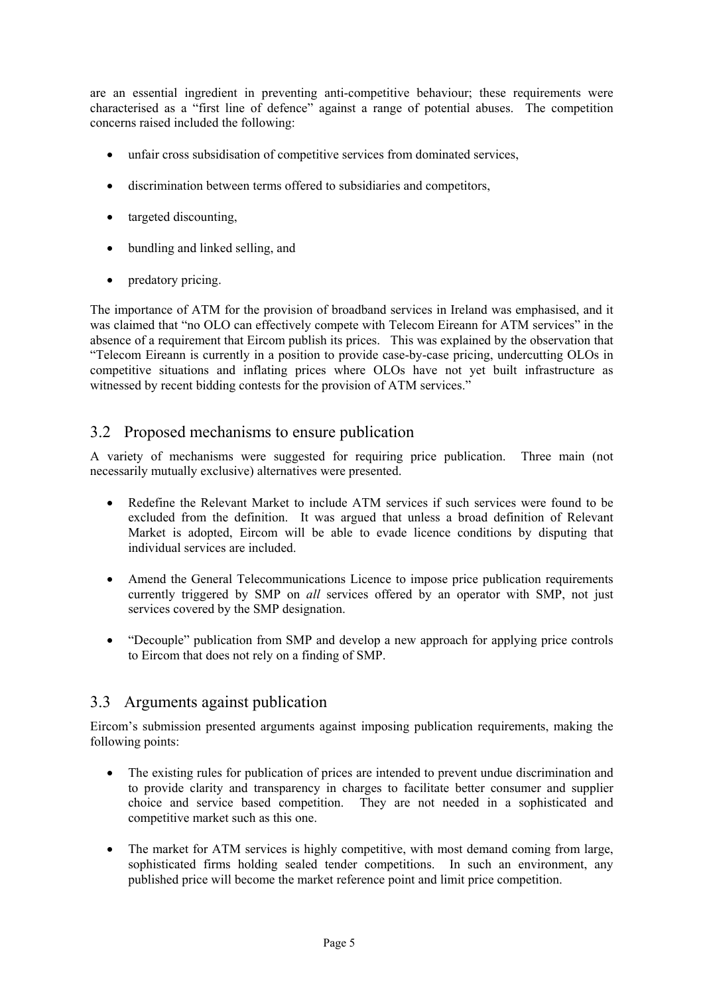are an essential ingredient in preventing anti-competitive behaviour; these requirements were characterised as a "first line of defence" against a range of potential abuses. The competition concerns raised included the following:

- unfair cross subsidisation of competitive services from dominated services,
- discrimination between terms offered to subsidiaries and competitors,
- targeted discounting,
- bundling and linked selling, and
- predatory pricing.

The importance of ATM for the provision of broadband services in Ireland was emphasised, and it was claimed that "no OLO can effectively compete with Telecom Eireann for ATM services" in the absence of a requirement that Eircom publish its prices. This was explained by the observation that "Telecom Eireann is currently in a position to provide case-by-case pricing, undercutting OLOs in competitive situations and inflating prices where OLOs have not yet built infrastructure as witnessed by recent bidding contests for the provision of ATM services."

### 3.2 Proposed mechanisms to ensure publication

A variety of mechanisms were suggested for requiring price publication. Three main (not necessarily mutually exclusive) alternatives were presented.

- Redefine the Relevant Market to include ATM services if such services were found to be excluded from the definition. It was argued that unless a broad definition of Relevant Market is adopted, Eircom will be able to evade licence conditions by disputing that individual services are included.
- Amend the General Telecommunications Licence to impose price publication requirements currently triggered by SMP on *all* services offered by an operator with SMP, not just services covered by the SMP designation.
- "Decouple" publication from SMP and develop a new approach for applying price controls to Eircom that does not rely on a finding of SMP.

#### 3.3 Arguments against publication

Eircom's submission presented arguments against imposing publication requirements, making the following points:

- The existing rules for publication of prices are intended to prevent undue discrimination and to provide clarity and transparency in charges to facilitate better consumer and supplier choice and service based competition. They are not needed in a sophisticated and competitive market such as this one.
- The market for ATM services is highly competitive, with most demand coming from large, sophisticated firms holding sealed tender competitions. In such an environment, any published price will become the market reference point and limit price competition.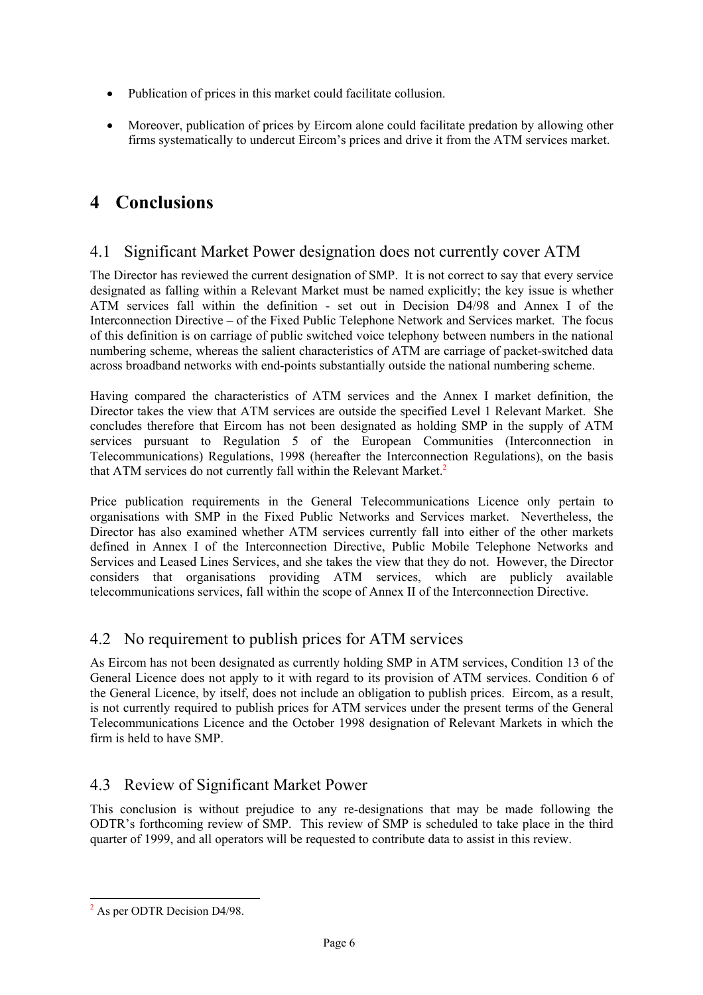- Publication of prices in this market could facilitate collusion.
- Moreover, publication of prices by Eircom alone could facilitate predation by allowing other firms systematically to undercut Eircom's prices and drive it from the ATM services market.

# **4 Conclusions**

### 4.1 Significant Market Power designation does not currently cover ATM

The Director has reviewed the current designation of SMP. It is not correct to say that every service designated as falling within a Relevant Market must be named explicitly; the key issue is whether ATM services fall within the definition - set out in Decision D4/98 and Annex I of the Interconnection Directive – of the Fixed Public Telephone Network and Services market. The focus of this definition is on carriage of public switched voice telephony between numbers in the national numbering scheme, whereas the salient characteristics of ATM are carriage of packet-switched data across broadband networks with end-points substantially outside the national numbering scheme.

Having compared the characteristics of ATM services and the Annex I market definition, the Director takes the view that ATM services are outside the specified Level 1 Relevant Market. She concludes therefore that Eircom has not been designated as holding SMP in the supply of ATM services pursuant to Regulation 5 of the European Communities (Interconnection in Telecommunications) Regulations, 1998 (hereafter the Interconnection Regulations), on the basis that ATM services do not currently fall within the Relevant Market.<sup>2</sup>

Price publication requirements in the General Telecommunications Licence only pertain to organisations with SMP in the Fixed Public Networks and Services market. Nevertheless, the Director has also examined whether ATM services currently fall into either of the other markets defined in Annex I of the Interconnection Directive, Public Mobile Telephone Networks and Services and Leased Lines Services, and she takes the view that they do not. However, the Director considers that organisations providing ATM services, which are publicly available telecommunications services, fall within the scope of Annex II of the Interconnection Directive.

#### 4.2 No requirement to publish prices for ATM services

As Eircom has not been designated as currently holding SMP in ATM services, Condition 13 of the General Licence does not apply to it with regard to its provision of ATM services. Condition 6 of the General Licence, by itself, does not include an obligation to publish prices. Eircom, as a result, is not currently required to publish prices for ATM services under the present terms of the General Telecommunications Licence and the October 1998 designation of Relevant Markets in which the firm is held to have SMP.

## 4.3 Review of Significant Market Power

This conclusion is without prejudice to any re-designations that may be made following the ODTR's forthcoming review of SMP. This review of SMP is scheduled to take place in the third quarter of 1999, and all operators will be requested to contribute data to assist in this review.

l

<sup>&</sup>lt;sup>2</sup> As per ODTR Decision D4/98.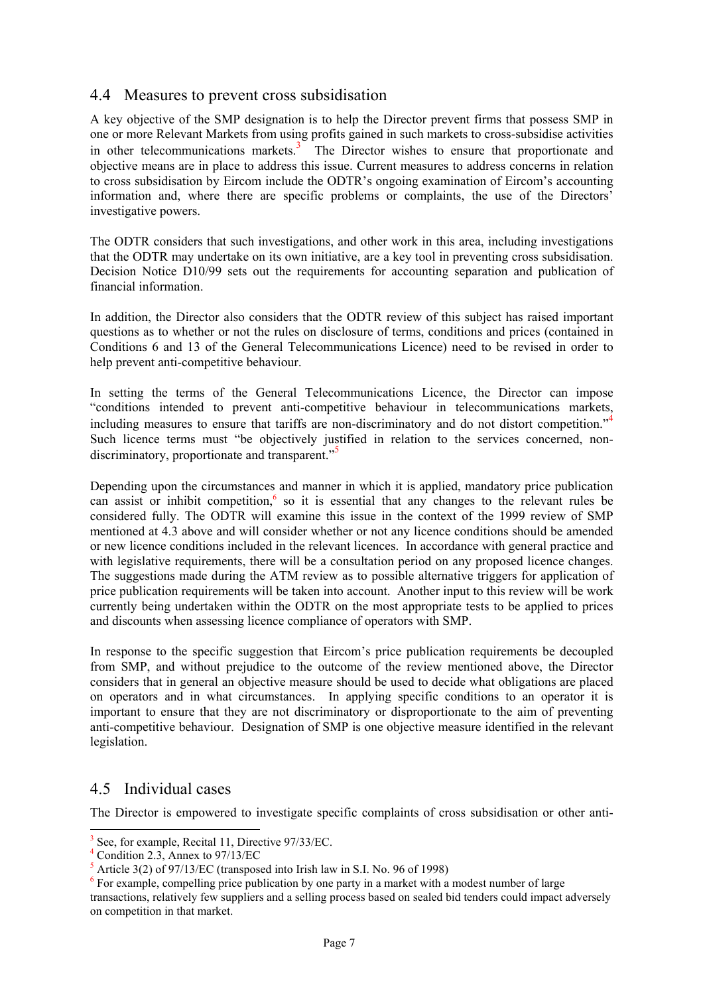#### 4.4 Measures to prevent cross subsidisation

A key objective of the SMP designation is to help the Director prevent firms that possess SMP in one or more Relevant Markets from using profits gained in such markets to cross-subsidise activities in other telecommunications markets.<sup>3</sup> The Director wishes to ensure that proportionate and objective means are in place to address this issue. Current measures to address concerns in relation to cross subsidisation by Eircom include the ODTR's ongoing examination of Eircom's accounting information and, where there are specific problems or complaints, the use of the Directors' investigative powers.

The ODTR considers that such investigations, and other work in this area, including investigations that the ODTR may undertake on its own initiative, are a key tool in preventing cross subsidisation. Decision Notice D10/99 sets out the requirements for accounting separation and publication of financial information.

In addition, the Director also considers that the ODTR review of this subject has raised important questions as to whether or not the rules on disclosure of terms, conditions and prices (contained in Conditions 6 and 13 of the General Telecommunications Licence) need to be revised in order to help prevent anti-competitive behaviour.

In setting the terms of the General Telecommunications Licence, the Director can impose "conditions intended to prevent anti-competitive behaviour in telecommunications markets, including measures to ensure that tariffs are non-discriminatory and do not distort competition."<sup>4</sup> Such licence terms must "be objectively justified in relation to the services concerned, nondiscriminatory, proportionate and transparent."<sup>5</sup>

Depending upon the circumstances and manner in which it is applied, mandatory price publication can assist or inhibit competition, $6$  so it is essential that any changes to the relevant rules be considered fully. The ODTR will examine this issue in the context of the 1999 review of SMP mentioned at 4.3 above and will consider whether or not any licence conditions should be amended or new licence conditions included in the relevant licences. In accordance with general practice and with legislative requirements, there will be a consultation period on any proposed licence changes. The suggestions made during the ATM review as to possible alternative triggers for application of price publication requirements will be taken into account. Another input to this review will be work currently being undertaken within the ODTR on the most appropriate tests to be applied to prices and discounts when assessing licence compliance of operators with SMP.

In response to the specific suggestion that Eircom's price publication requirements be decoupled from SMP, and without prejudice to the outcome of the review mentioned above, the Director considers that in general an objective measure should be used to decide what obligations are placed on operators and in what circumstances. In applying specific conditions to an operator it is important to ensure that they are not discriminatory or disproportionate to the aim of preventing anti-competitive behaviour. Designation of SMP is one objective measure identified in the relevant legislation.

#### 4.5 Individual cases

l

The Director is empowered to investigate specific complaints of cross subsidisation or other anti-

<sup>3</sup> See, for example, Recital 11, Directive 97/33/EC.

<sup>4</sup> Condition 2.3, Annex to 97/13/EC

 $5$  Article 3(2) of 97/13/EC (transposed into Irish law in S.I. No. 96 of 1998)

 $6$  For example, compelling price publication by one party in a market with a modest number of large transactions, relatively few suppliers and a selling process based on sealed bid tenders could impact adversely on competition in that market.